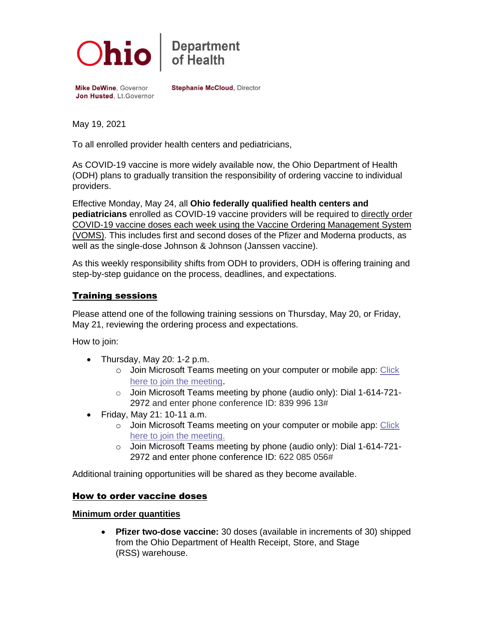

# **Department**<br>of Health

Mike DeWine, Governor Jon Husted, Lt. Governor **Stephanie McCloud, Director** 

May 19, 2021

To all enrolled provider health centers and pediatricians,

As COVID-19 vaccine is more widely available now, the Ohio Department of Health (ODH) plans to gradually transition the responsibility of ordering vaccine to individual providers.

Effective Monday, May 24, all **Ohio federally qualified health centers and pediatricians** enrolled as COVID-19 vaccine providers will be required to directly order COVID-19 vaccine doses each week using the Vaccine Ordering Management System (VOMS). This includes first and second doses of the Pfizer and Moderna products, as well as the single-dose Johnson & Johnson (Janssen vaccine).

As this weekly responsibility shifts from ODH to providers, ODH is offering training and step-by-step guidance on the process, deadlines, and expectations.

# Training sessions

Please attend one of the following training sessions on Thursday, May 20, or Friday, May 21, reviewing the ordering process and expectations.

How to join:

- Thursday, May 20: 1-2 p.m.
	- o Join Microsoft Teams meeting on your computer or mobile app: Click [here to join the meeting](https://teams.microsoft.com/l/meetup-join/19%3ameeting_MjEyMjczMDktODFlYi00NDM5LTk1ODQtZDMyM2M4YjE3ZDc0%40thread.v2/0?context=%7b%22Tid%22%3a%2250f8fcc4-94d8-4f07-84eb-36ed57c7c8a2%22%2c%22Oid%22%3a%22605c7b43-1d01-4ce5-a448-23b7a7f4264d%22%7d).
	- o Join Microsoft Teams meeting by phone (audio only): Dial 1-614-721- 2972 and enter phone conference ID: 839 996 13#
- Friday, May 21: 10-11 a.m.
	- o Join Microsoft Teams meeting on your computer or mobile app: [Click](https://teams.microsoft.com/l/meetup-join/19%3ameeting_OTEzY2I0MzktMjA4MS00NzRhLWI2MzctZjMzN2JiMmRhNThk%40thread.v2/0?context=%7b%22Tid%22%3a%2250f8fcc4-94d8-4f07-84eb-36ed57c7c8a2%22%2c%22Oid%22%3a%22605c7b43-1d01-4ce5-a448-23b7a7f4264d%22%7d)  [here to join the meeting.](https://teams.microsoft.com/l/meetup-join/19%3ameeting_OTEzY2I0MzktMjA4MS00NzRhLWI2MzctZjMzN2JiMmRhNThk%40thread.v2/0?context=%7b%22Tid%22%3a%2250f8fcc4-94d8-4f07-84eb-36ed57c7c8a2%22%2c%22Oid%22%3a%22605c7b43-1d01-4ce5-a448-23b7a7f4264d%22%7d)
	- o Join Microsoft Teams meeting by phone (audio only): Dial 1-614-721- 2972 and enter phone conference ID: 622 085 056#

Additional training opportunities will be shared as they become available.

### How to order vaccine doses

#### **Minimum order quantities**

• **Pfizer two-dose vaccine:** 30 doses (available in increments of 30) shipped from the Ohio Department of Health Receipt, Store, and Stage (RSS) warehouse.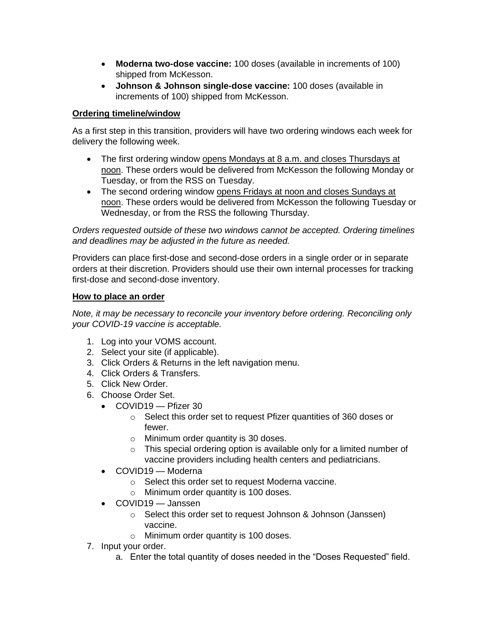- **Moderna two-dose vaccine:** 100 doses (available in increments of 100) shipped from McKesson.
- **Johnson & Johnson single-dose vaccine:** 100 doses (available in increments of 100) shipped from McKesson.

# **Ordering timeline/window**

As a first step in this transition, providers will have two ordering windows each week for delivery the following week.

- The first ordering window opens Mondays at 8 a.m. and closes Thursdays at noon. These orders would be delivered from McKesson the following Monday or Tuesday, or from the RSS on Tuesday.
- The second ordering window opens Fridays at noon and closes Sundays at noon. These orders would be delivered from McKesson the following Tuesday or Wednesday, or from the RSS the following Thursday.

*Orders requested outside of these two windows cannot be accepted. Ordering timelines and deadlines may be adjusted in the future as needed.*

Providers can place first-dose and second-dose orders in a single order or in separate orders at their discretion. Providers should use their own internal processes for tracking first-dose and second-dose inventory.

### **How to place an order**

*Note, it may be necessary to reconcile your inventory before ordering. Reconciling only your COVID-19 vaccine is acceptable.*

- 1. Log into your VOMS account.
- 2. Select your site (if applicable).
- 3. Click Orders & Returns in the left navigation menu.
- 4. Click Orders & Transfers.
- 5. Click New Order.
- 6. Choose Order Set.
	- COVID19 Pfizer 30
		- o Select this order set to request Pfizer quantities of 360 doses or fewer.
		- o Minimum order quantity is 30 doses.
		- o This special ordering option is available only for a limited number of vaccine providers including health centers and pediatricians.
	- COVID19 Moderna
		- o Select this order set to request Moderna vaccine.
		- o Minimum order quantity is 100 doses.
	- COVID19 Janssen
		- o Select this order set to request Johnson & Johnson (Janssen) vaccine.
		- o Minimum order quantity is 100 doses.
- 7. Input your order.
	- a. Enter the total quantity of doses needed in the "Doses Requested" field.